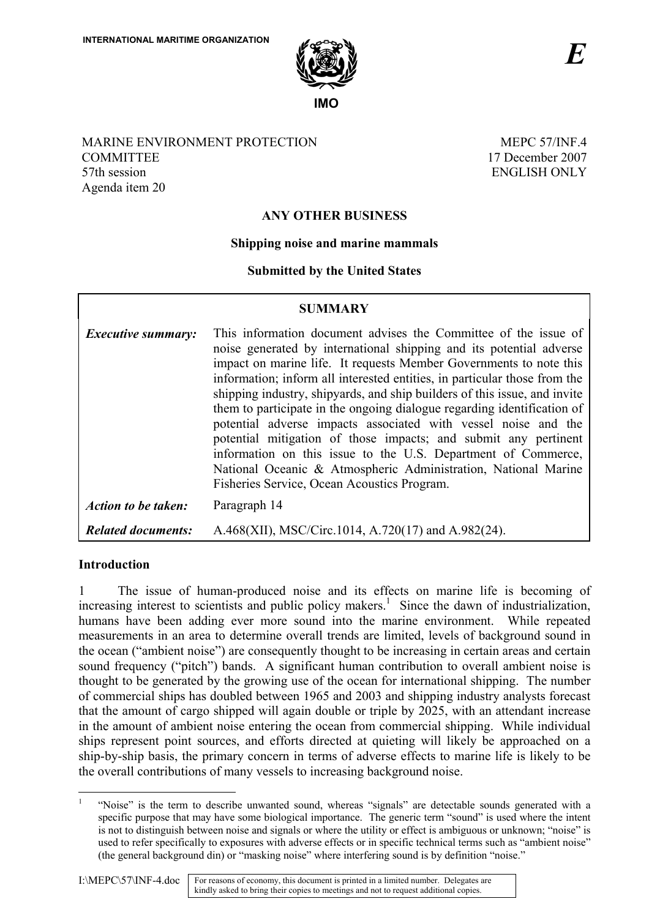

# MARINE ENVIRONMENT PROTECTION **COMMITTEE** 57th session Agenda item 20

MEPC 57/INF 4 17 December 2007 ENGLISH ONLY

# **ANY OTHER BUSINESS**

# **Shipping noise and marine mammals**

# **Submitted by the United States**

| <b>SUMMARY</b>            |                                                                                                                                                                                                                                                                                                                                                                                                                                                                                                                                                                                                                                                                                                                                                                          |
|---------------------------|--------------------------------------------------------------------------------------------------------------------------------------------------------------------------------------------------------------------------------------------------------------------------------------------------------------------------------------------------------------------------------------------------------------------------------------------------------------------------------------------------------------------------------------------------------------------------------------------------------------------------------------------------------------------------------------------------------------------------------------------------------------------------|
| <i>Executive summary:</i> | This information document advises the Committee of the issue of<br>noise generated by international shipping and its potential adverse<br>impact on marine life. It requests Member Governments to note this<br>information; inform all interested entities, in particular those from the<br>shipping industry, shipyards, and ship builders of this issue, and invite<br>them to participate in the ongoing dialogue regarding identification of<br>potential adverse impacts associated with vessel noise and the<br>potential mitigation of those impacts; and submit any pertinent<br>information on this issue to the U.S. Department of Commerce,<br>National Oceanic & Atmospheric Administration, National Marine<br>Fisheries Service, Ocean Acoustics Program. |
| Action to be taken:       | Paragraph 14                                                                                                                                                                                                                                                                                                                                                                                                                                                                                                                                                                                                                                                                                                                                                             |
| <b>Related documents:</b> | A.468(XII), MSC/Circ.1014, A.720(17) and A.982(24).                                                                                                                                                                                                                                                                                                                                                                                                                                                                                                                                                                                                                                                                                                                      |

### **Introduction**

1 The issue of human-produced noise and its effects on marine life is becoming of increasing interest to scientists and public policy makers.<sup>1</sup> Since the dawn of industrialization, humans have been adding ever more sound into the marine environment. While repeated measurements in an area to determine overall trends are limited, levels of background sound in the ocean ("ambient noise") are consequently thought to be increasing in certain areas and certain sound frequency ("pitch") bands. A significant human contribution to overall ambient noise is thought to be generated by the growing use of the ocean for international shipping. The number of commercial ships has doubled between 1965 and 2003 and shipping industry analysts forecast that the amount of cargo shipped will again double or triple by 2025, with an attendant increase in the amount of ambient noise entering the ocean from commercial shipping. While individual ships represent point sources, and efforts directed at quieting will likely be approached on a ship-by-ship basis, the primary concern in terms of adverse effects to marine life is likely to be the overall contributions of many vessels to increasing background noise.

 $\overline{a}$ 

<sup>1</sup> "Noise" is the term to describe unwanted sound, whereas "signals" are detectable sounds generated with a specific purpose that may have some biological importance. The generic term "sound" is used where the intent is not to distinguish between noise and signals or where the utility or effect is ambiguous or unknown; "noise" is used to refer specifically to exposures with adverse effects or in specific technical terms such as "ambient noise" (the general background din) or "masking noise" where interfering sound is by definition "noise."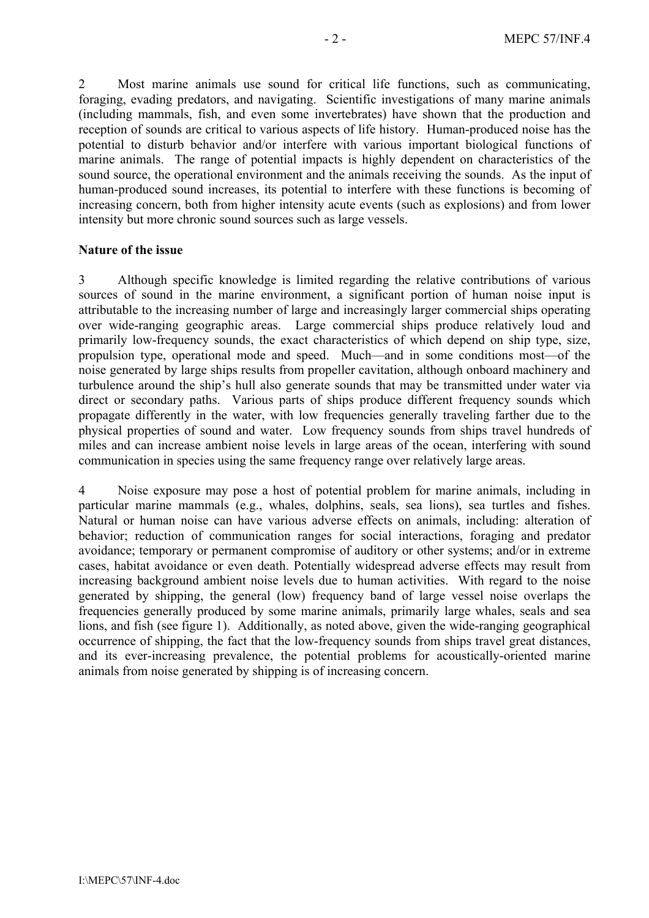2 Most marine animals use sound for critical life functions, such as communicating, foraging, evading predators, and navigating. Scientific investigations of many marine animals (including mammals, fish, and even some invertebrates) have shown that the production and reception of sounds are critical to various aspects of life history. Human-produced noise has the potential to disturb behavior and/or interfere with various important biological functions of marine animals. The range of potential impacts is highly dependent on characteristics of the sound source, the operational environment and the animals receiving the sounds. As the input of human-produced sound increases, its potential to interfere with these functions is becoming of increasing concern, both from higher intensity acute events (such as explosions) and from lower intensity but more chronic sound sources such as large vessels.

#### **Nature of the issue**

3 Although specific knowledge is limited regarding the relative contributions of various sources of sound in the marine environment, a significant portion of human noise input is attributable to the increasing number of large and increasingly larger commercial ships operating over wide-ranging geographic areas. Large commercial ships produce relatively loud and primarily low-frequency sounds, the exact characteristics of which depend on ship type, size, propulsion type, operational mode and speed. Much—and in some conditions most—of the noise generated by large ships results from propeller cavitation, although onboard machinery and turbulence around the ship's hull also generate sounds that may be transmitted under water via direct or secondary paths. Various parts of ships produce different frequency sounds which propagate differently in the water, with low frequencies generally traveling farther due to the physical properties of sound and water. Low frequency sounds from ships travel hundreds of miles and can increase ambient noise levels in large areas of the ocean, interfering with sound communication in species using the same frequency range over relatively large areas.

4 Noise exposure may pose a host of potential problem for marine animals, including in particular marine mammals (e.g., whales, dolphins, seals, sea lions), sea turtles and fishes. Natural or human noise can have various adverse effects on animals, including: alteration of behavior; reduction of communication ranges for social interactions, foraging and predator avoidance; temporary or permanent compromise of auditory or other systems; and/or in extreme cases, habitat avoidance or even death. Potentially widespread adverse effects may result from increasing background ambient noise levels due to human activities. With regard to the noise generated by shipping, the general (low) frequency band of large vessel noise overlaps the frequencies generally produced by some marine animals, primarily large whales, seals and sea lions, and fish (see figure 1). Additionally, as noted above, given the wide-ranging geographical occurrence of shipping, the fact that the low-frequency sounds from ships travel great distances, and its ever-increasing prevalence, the potential problems for acoustically-oriented marine animals from noise generated by shipping is of increasing concern.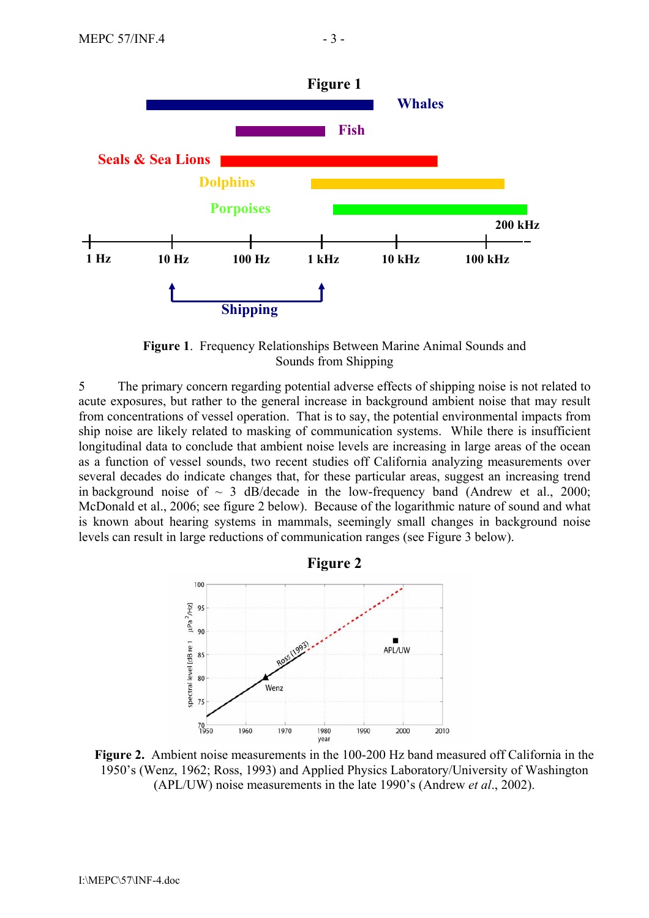

**Figure 1**. Frequency Relationships Between Marine Animal Sounds and Sounds from Shipping

5 The primary concern regarding potential adverse effects of shipping noise is not related to acute exposures, but rather to the general increase in background ambient noise that may result from concentrations of vessel operation. That is to say, the potential environmental impacts from ship noise are likely related to masking of communication systems. While there is insufficient longitudinal data to conclude that ambient noise levels are increasing in large areas of the ocean as a function of vessel sounds, two recent studies off California analyzing measurements over several decades do indicate changes that, for these particular areas, suggest an increasing trend in background noise of  $\sim$  3 dB/decade in the low-frequency band (Andrew et al., 2000; McDonald et al., 2006; see figure 2 below). Because of the logarithmic nature of sound and what is known about hearing systems in mammals, seemingly small changes in background noise levels can result in large reductions of communication ranges (see Figure 3 below).



**Figure 2.** Ambient noise measurements in the 100-200 Hz band measured off California in the 1950's (Wenz, 1962; Ross, 1993) and Applied Physics Laboratory/University of Washington (APL/UW) noise measurements in the late 1990's (Andrew *et al*., 2002).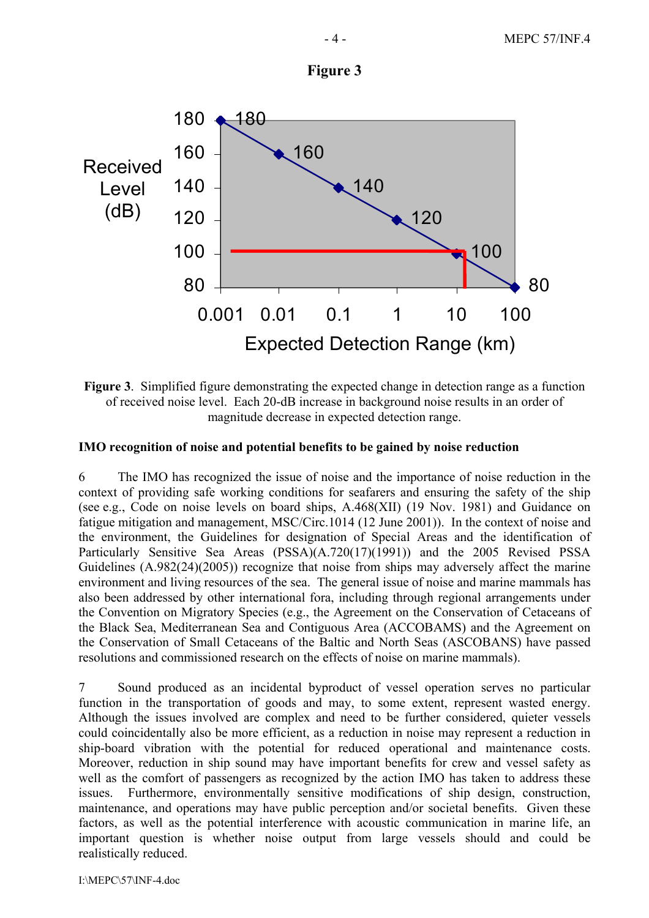



**Figure 3**. Simplified figure demonstrating the expected change in detection range as a function of received noise level. Each 20-dB increase in background noise results in an order of magnitude decrease in expected detection range.

## **IMO recognition of noise and potential benefits to be gained by noise reduction**

6 The IMO has recognized the issue of noise and the importance of noise reduction in the context of providing safe working conditions for seafarers and ensuring the safety of the ship (see e.g., Code on noise levels on board ships, A.468(XII) (19 Nov. 1981) and Guidance on fatigue mitigation and management, MSC/Circ.1014 (12 June 2001)). In the context of noise and the environment, the Guidelines for designation of Special Areas and the identification of Particularly Sensitive Sea Areas (PSSA)(A.720(17)(1991)) and the 2005 Revised PSSA Guidelines (A.982(24)(2005)) recognize that noise from ships may adversely affect the marine environment and living resources of the sea. The general issue of noise and marine mammals has also been addressed by other international fora, including through regional arrangements under the Convention on Migratory Species (e.g., the Agreement on the Conservation of Cetaceans of the Black Sea, Mediterranean Sea and Contiguous Area (ACCOBAMS) and the Agreement on the Conservation of Small Cetaceans of the Baltic and North Seas (ASCOBANS) have passed resolutions and commissioned research on the effects of noise on marine mammals).

7 Sound produced as an incidental byproduct of vessel operation serves no particular function in the transportation of goods and may, to some extent, represent wasted energy. Although the issues involved are complex and need to be further considered, quieter vessels could coincidentally also be more efficient, as a reduction in noise may represent a reduction in ship-board vibration with the potential for reduced operational and maintenance costs. Moreover, reduction in ship sound may have important benefits for crew and vessel safety as well as the comfort of passengers as recognized by the action IMO has taken to address these issues. Furthermore, environmentally sensitive modifications of ship design, construction, maintenance, and operations may have public perception and/or societal benefits. Given these factors, as well as the potential interference with acoustic communication in marine life, an important question is whether noise output from large vessels should and could be realistically reduced.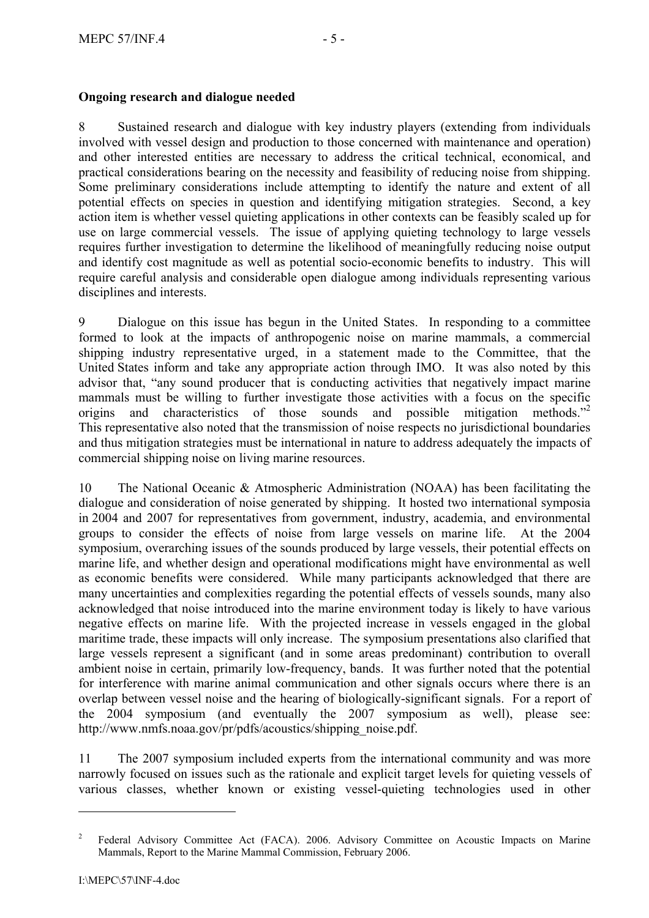# **Ongoing research and dialogue needed**

8 Sustained research and dialogue with key industry players (extending from individuals involved with vessel design and production to those concerned with maintenance and operation) and other interested entities are necessary to address the critical technical, economical, and practical considerations bearing on the necessity and feasibility of reducing noise from shipping. Some preliminary considerations include attempting to identify the nature and extent of all potential effects on species in question and identifying mitigation strategies. Second, a key action item is whether vessel quieting applications in other contexts can be feasibly scaled up for use on large commercial vessels. The issue of applying quieting technology to large vessels requires further investigation to determine the likelihood of meaningfully reducing noise output and identify cost magnitude as well as potential socio-economic benefits to industry. This will require careful analysis and considerable open dialogue among individuals representing various disciplines and interests.

9 Dialogue on this issue has begun in the United States. In responding to a committee formed to look at the impacts of anthropogenic noise on marine mammals, a commercial shipping industry representative urged, in a statement made to the Committee, that the United States inform and take any appropriate action through IMO. It was also noted by this advisor that, "any sound producer that is conducting activities that negatively impact marine mammals must be willing to further investigate those activities with a focus on the specific origins and characteristics of those sounds and possible mitigation methods."<sup>2</sup> This representative also noted that the transmission of noise respects no jurisdictional boundaries and thus mitigation strategies must be international in nature to address adequately the impacts of commercial shipping noise on living marine resources.

10 The National Oceanic & Atmospheric Administration (NOAA) has been facilitating the dialogue and consideration of noise generated by shipping. It hosted two international symposia in 2004 and 2007 for representatives from government, industry, academia, and environmental groups to consider the effects of noise from large vessels on marine life. At the 2004 symposium, overarching issues of the sounds produced by large vessels, their potential effects on marine life, and whether design and operational modifications might have environmental as well as economic benefits were considered. While many participants acknowledged that there are many uncertainties and complexities regarding the potential effects of vessels sounds, many also acknowledged that noise introduced into the marine environment today is likely to have various negative effects on marine life. With the projected increase in vessels engaged in the global maritime trade, these impacts will only increase. The symposium presentations also clarified that large vessels represent a significant (and in some areas predominant) contribution to overall ambient noise in certain, primarily low-frequency, bands. It was further noted that the potential for interference with marine animal communication and other signals occurs where there is an overlap between vessel noise and the hearing of biologically-significant signals. For a report of the 2004 symposium (and eventually the 2007 symposium as well), please see: http://www.nmfs.noaa.gov/pr/pdfs/acoustics/shipping\_noise.pdf.

11 The 2007 symposium included experts from the international community and was more narrowly focused on issues such as the rationale and explicit target levels for quieting vessels of various classes, whether known or existing vessel-quieting technologies used in other

 $\overline{a}$ 

<sup>&</sup>lt;sup>2</sup> Federal Advisory Committee Act (FACA). 2006. Advisory Committee on Acoustic Impacts on Marine Mammals, Report to the Marine Mammal Commission, February 2006.